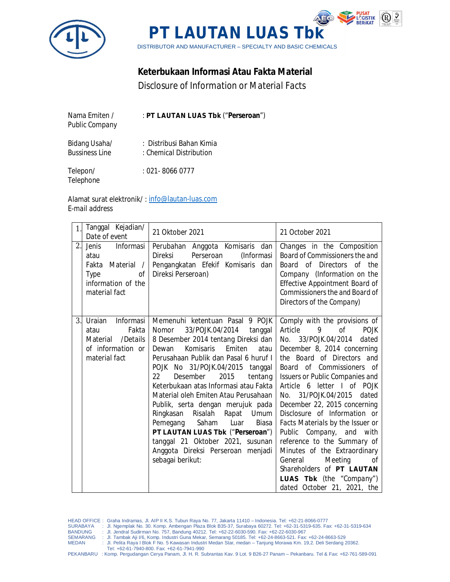



## **Keterbukaan Informasi Atau Fakta Material**

*Disclosure of Information or Material Facts*

| Nama Emiten /<br><b>Public Company</b> | : PT LAUTAN LUAS Tbk ("Perseroan")                  |
|----------------------------------------|-----------------------------------------------------|
| Bidang Usaha/<br><b>Bussiness Line</b> | : Distribusi Bahan Kimia<br>: Chemical Distribution |
| Telepon/<br>Telephone                  | $: 021 - 80660777$                                  |

Alamat surat elektronik/ : info@lautan-luas.com *E-mail address*

| $\mathbf{1}$ . | Tanggal Kejadian/<br>Date of event                                                                         | 21 Oktober 2021                                                                                                                                                                                                                                                                                                                                                                                                                                                                                                                                                                                        | 21 October 2021                                                                                                                                                                                                                                                                                                                                                                                                                                                                                                                                                                                           |
|----------------|------------------------------------------------------------------------------------------------------------|--------------------------------------------------------------------------------------------------------------------------------------------------------------------------------------------------------------------------------------------------------------------------------------------------------------------------------------------------------------------------------------------------------------------------------------------------------------------------------------------------------------------------------------------------------------------------------------------------------|-----------------------------------------------------------------------------------------------------------------------------------------------------------------------------------------------------------------------------------------------------------------------------------------------------------------------------------------------------------------------------------------------------------------------------------------------------------------------------------------------------------------------------------------------------------------------------------------------------------|
| 2.             | Informasi<br><b>Jenis</b><br>atau<br>Fakta Material /<br>Type<br>Οf<br>information of the<br>material fact | Perubahan Anggota Komisaris dan<br><b>Direksi</b><br>Perseroan<br>(Informasi<br>Pengangkatan Efekif Komisaris dan<br>Direksi Perseroan)                                                                                                                                                                                                                                                                                                                                                                                                                                                                | Changes in the Composition<br>Board of Commissioners the and<br>Board of Directors of the<br>Company (Information on the<br>Effective Appointment Board of<br>Commissioners the and Board of<br>Directors of the Company)                                                                                                                                                                                                                                                                                                                                                                                 |
| 3.             | Uraian<br>Informasi<br>Fakta<br>atau<br>/Details<br>Material<br>of information or<br>material fact         | Memenuhi ketentuan Pasal 9 POJK<br>33/POJK.04/2014<br>Nomor<br>tanggal<br>8 Desember 2014 tentang Direksi dan<br>Komisaris<br>Emiten<br>atau<br>Dewan<br>Perusahaan Publik dan Pasal 6 huruf I<br>POJK No 31/POJK.04/2015 tanggal<br>Desember<br>2015<br>tentang<br>22<br>Keterbukaan atas Informasi atau Fakta<br>Material oleh Emiten Atau Perusahaan<br>Publik, serta dengan merujuk pada<br>Ringkasan Risalah<br>Rapat Umum<br>Saham<br>Luar<br>Pemegang<br>Biasa<br>PT LAUTAN LUAS Tbk ("Perseroan")<br>tanggal 21 Oktober 2021, susunan<br>Anggota Direksi Perseroan menjadi<br>sebagai berikut: | Comply with the provisions of<br>Article<br>9<br>of<br>POJK<br>No. 33/POJK.04/2014<br>dated<br>December 8, 2014 concerning<br>the Board of Directors and<br>Board of Commissioners of<br>Issuers or Public Companies and<br>Article 6 letter I of POJK<br>31/POJK.04/2015 dated<br>No.<br>December 22, 2015 concerning<br>Disclosure of Information or<br>Facts Materials by the Issuer or<br>Public Company, and with<br>reference to the Summary of<br>Minutes of the Extraordinary<br>Meeting<br>General<br>οf<br>Shareholders of PT LAUTAN<br>LUAS Tbk (the "Company")<br>dated October 21, 2021, the |

- HEAD OFFICE: Graha Indramas, Jl. AIP II K.S. Tubun Raya No. 77, Jakarta 11410 Indonesia. Tel: +62-21-8066-0777<br>SURABAYA : Jl. Ngemplak No. 30. Komp. Ambengan Plaza Blok B35-37, Surabaya 60272. Tel: +62-31-5319-635. F
- 
- SEMARANG : Jl. Tambak Aji I/6, Komp. Industri Guna Mekar, Semarang 50185. Tel: +62-24-8663-521. Fax: +62-24-8663-529 Jl. Pelita Raya I Blok F No. 5 Kawasan Industri Medan Star, medan – Tanjung Morawa Km. 19,2. Deli Serdang 20362.
	- Tel: +62-61-7940-800. Fax: +62-61-7941-990

PEKANBARU : Komp. Pergudangan Cerya Panam, Jl. H. R. Subrantas Kav. 9 Lot. 9 B26-27 Panam – Pekanbaru. Tel & Fax: +62-761-589-091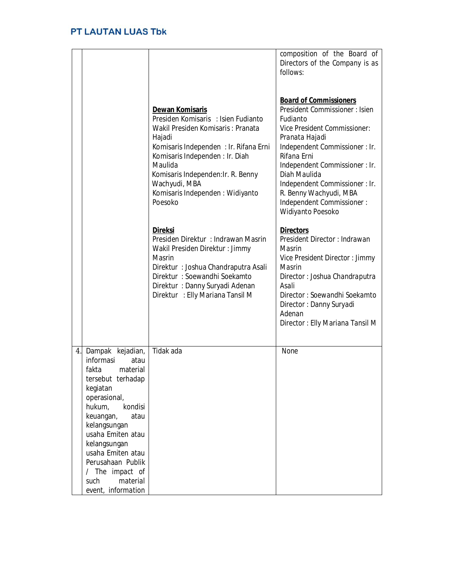|                                                                                                                                                                                                                                                                                                                          |                                                                                                                                                                                                                                                                                                   | composition of the Board of<br>Directors of the Company is as<br>follows:                                                                                                                                                                                                                                                                            |
|--------------------------------------------------------------------------------------------------------------------------------------------------------------------------------------------------------------------------------------------------------------------------------------------------------------------------|---------------------------------------------------------------------------------------------------------------------------------------------------------------------------------------------------------------------------------------------------------------------------------------------------|------------------------------------------------------------------------------------------------------------------------------------------------------------------------------------------------------------------------------------------------------------------------------------------------------------------------------------------------------|
|                                                                                                                                                                                                                                                                                                                          | Dewan Komisaris<br>Presiden Komisaris : Isien Fudianto<br>Wakil Presiden Komisaris: Pranata<br>Hajadi<br>Komisaris Independen: Ir. Rifana Erni<br>Komisaris Independen : Ir. Diah<br>Maulida<br>Komisaris Independen: Ir. R. Benny<br>Wachyudi, MBA<br>Komisaris Independen: Widiyanto<br>Poesoko | <b>Board of Commissioners</b><br>President Commissioner: Isien<br>Fudianto<br><b>Vice President Commissioner:</b><br>Pranata Hajadi<br>Independent Commissioner : Ir.<br>Rifana Erni<br>Independent Commissioner : Ir.<br>Diah Maulida<br>Independent Commissioner : Ir.<br>R. Benny Wachyudi, MBA<br>Independent Commissioner:<br>Widiyanto Poesoko |
|                                                                                                                                                                                                                                                                                                                          | <b>Direksi</b><br>Presiden Direktur: Indrawan Masrin<br>Wakil Presiden Direktur: Jimmy<br>Masrin<br>Direktur: Joshua Chandraputra Asali<br>Direktur: Soewandhi Soekamto<br>Direktur: Danny Suryadi Adenan<br>Direktur: Elly Mariana Tansil M                                                      | <b>Directors</b><br>President Director: Indrawan<br>Masrin<br>Vice President Director: Jimmy<br>Masrin<br>Director: Joshua Chandraputra<br>Asali<br>Director: Soewandhi Soekamto<br>Director: Danny Suryadi<br>Adenan<br>Director: Elly Mariana Tansil M                                                                                             |
| Dampak kejadian,<br>4.1<br>informasi<br>atau<br>fakta<br>material<br>tersebut terhadap<br>kegiatan<br>operasional,<br>kondisi<br>hukum,<br>keuangan,<br>atau<br>kelangsungan<br>usaha Emiten atau<br>kelangsungan<br>usaha Emiten atau<br>Perusahaan Publik<br>/ The impact of<br>material<br>such<br>event, information | Tidak ada                                                                                                                                                                                                                                                                                         | None                                                                                                                                                                                                                                                                                                                                                 |